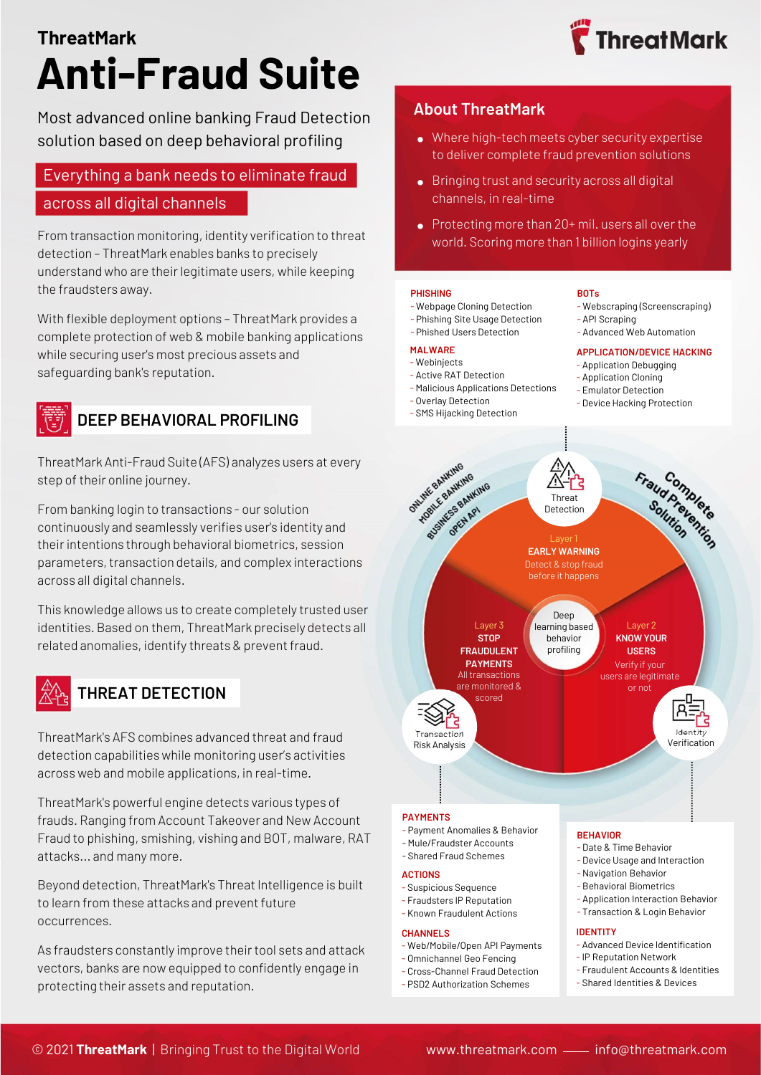# **ThreatMark** Anti-Fraud Suite ThreatMark<br>
Anti-Fraud Suite<br>
Most advanced online banking Fraud Detection<br>
solution based on deep behavioral profiling<br>
Everything a bank needs to eliminate fraud

Most advanced online banking Fraud Detection

# Everything a bank needs to eliminate fraud across all digital channels

From transaction monitoring, identity verification to threat Most advanced online banking Fraud Detectic<br>solution based on deep behavioral profiling<br>Everything a bank needs to eliminate fraud<br>across all digital channels<br>From transaction monitoring, identity verification to threa<br>det understand who are their legitimate users, while keeping the fraudsters away. Everything a bank needs to eliminate fraud<br>
across all digital channels<br>
From transaction monitoring, identity verification to threat<br>
detection – ThreatMark enables banks to precisely<br>
understand who are their legitimate

complete protection of web & mobile banking applications while securing user's most precious assets and safeguarding bank's reputation.



# DEEP BEHAVIORAL PROFILING

ThreatMark Anti-Fraud Suite (AFS) analyzes users at every step of their online journey.

While securing user's most precious assets and<br>
safeguarding bank's reputation.<br>
Safeguarding bank's reputation.<br>
- Malicion - Malicion - Malicion - Malicion - Malicion - Overlay<br>
- SMS Hij<br>
ThreatMark Anti-Fraud Suite (AF continuously and seamlessly verifies user's identity and their intentions through behavioral biometrics, session parameters, transaction details, and complex interactions across all digital channels.

This knowledge allows us to create completely trusted user identities. Based on them, ThreatMark precisely detects all related anomalies, identify threats & prevent fraud.



# THREAT DETECTION

ThreatMark's AFS combines advanced threat and fraud detection capabilities while monitoring user's activities across web and mobile applications, in real-time.

ThreatMark's powerful engine detects various types of frauds. Ranging from Account Takeover and New Account Fraud to phishing, smishing, vishing and BOT, malware, RAT Prayment Anomales & Der attacks... and many more.

Beyond detection, ThreatMark's Threat Intelligence is built to learn from these attacks and prevent future occurrences.

Exploration, Inteatmarks Inteatinteningence is built<br>
CFT and stars P Reputation<br>
CHANNELS<br>
As fraudsters constantly improve their tool sets and attack<br>
vectors, banks are now equipped to confidently engage in<br>
The Mannel As fraudsters constantly improve their tool sets and attack vectors, banks are now equipped to confidently engage in protecting their assets and reputation.

# About ThreatMark

- ⬤ Where high-tech meets cyber security expertise to deliver complete fraud prevention solutions
- ⬤ Bringing trust and security across all digital channels, in real-time
- Protecting more than 20+ mil. users all over the world. Scoring more than 1 billion logins yearly

### **PHISHING**

- Webpage Cloning Detection
- Phishing Site Usage Detection
- Phished Users Detection

## MAL WARE

- Webinjects
- Active RAT Detection
- Malicious Applications Detections
- Overlay Detection

- Known Fraudulent Actions

- Web/Mobile/Open API Payments - Omnichannel Geo Fencing

CHANNELS

- SMS Hijacking Detection

- **BOTs**
- Webscraping (Screenscraping)
- API Scraping
- Advanced Web Automation

## APPLICATION/DEVICE HACKING

- Application Debugging
- Application Cloning
- Emulator Detection
- Device Hacking Protection



- Transaction & Login Behavior

### IDENTITY

- Advanced Device Identification
- -IP Reputation Network
- Fraudulent Accounts & Identities
- Cross-Channel Fraud Detection Praudulent Accounts & Iden<br>- PSD2 Authorization Schemes Shared Identities & Devices